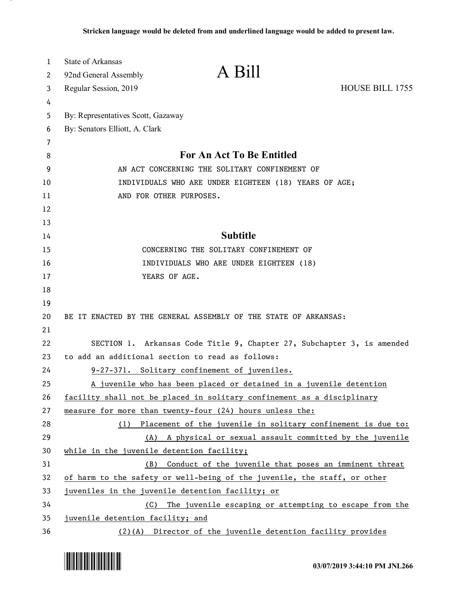| $\mathbf{1}$ | <b>State of Arkansas</b>                              |                                                                          |                        |
|--------------|-------------------------------------------------------|--------------------------------------------------------------------------|------------------------|
| 2            | 92nd General Assembly                                 | A Bill                                                                   |                        |
| 3            | Regular Session, 2019                                 |                                                                          | <b>HOUSE BILL 1755</b> |
| 4            |                                                       |                                                                          |                        |
| 5            | By: Representatives Scott, Gazaway                    |                                                                          |                        |
| 6            | By: Senators Elliott, A. Clark                        |                                                                          |                        |
| 7            |                                                       |                                                                          |                        |
| 8            | For An Act To Be Entitled                             |                                                                          |                        |
| 9            | AN ACT CONCERNING THE SOLITARY CONFINEMENT OF         |                                                                          |                        |
| 10           | INDIVIDUALS WHO ARE UNDER EIGHTEEN (18) YEARS OF AGE; |                                                                          |                        |
| 11           |                                                       | AND FOR OTHER PURPOSES.                                                  |                        |
| 12           |                                                       |                                                                          |                        |
| 13           |                                                       |                                                                          |                        |
| 14           |                                                       | <b>Subtitle</b>                                                          |                        |
| 15           |                                                       | CONCERNING THE SOLITARY CONFINEMENT OF                                   |                        |
| 16           | INDIVIDUALS WHO ARE UNDER EIGHTEEN (18)               |                                                                          |                        |
| 17           |                                                       | YEARS OF AGE.                                                            |                        |
| 18           |                                                       |                                                                          |                        |
| 19           |                                                       |                                                                          |                        |
| 20           |                                                       | BE IT ENACTED BY THE GENERAL ASSEMBLY OF THE STATE OF ARKANSAS:          |                        |
| 21           |                                                       |                                                                          |                        |
| 22           |                                                       | SECTION 1. Arkansas Code Title 9, Chapter 27, Subchapter 3, is amended   |                        |
| 23           | to add an additional section to read as follows:      |                                                                          |                        |
| 24           |                                                       | 9-27-371. Solitary confinement of juveniles.                             |                        |
| 25           |                                                       | A juvenile who has been placed or detained in a juvenile detention       |                        |
| 26           |                                                       | facility shall not be placed in solitary confinement as a disciplinary   |                        |
| 27           |                                                       | measure for more than twenty-four (24) hours unless the:                 |                        |
| 28           |                                                       | (1) Placement of the juvenile in solitary confinement is due to:         |                        |
| 29           | (A)                                                   | A physical or sexual assault committed by the juvenile                   |                        |
| 30           | while in the juvenile detention facility;             |                                                                          |                        |
| 31           | (B)                                                   | Conduct of the juvenile that poses an imminent threat                    |                        |
| 32           |                                                       | of harm to the safety or well-being of the juvenile, the staff, or other |                        |
| 33           |                                                       | juveniles in the juvenile detention facility; or                         |                        |
| 34           | (C)                                                   | The juvenile escaping or attempting to escape from the                   |                        |
| 35           | juvenile detention facility; and                      |                                                                          |                        |
| 36           |                                                       | (2)(A) Director of the juvenile detention facility provides              |                        |